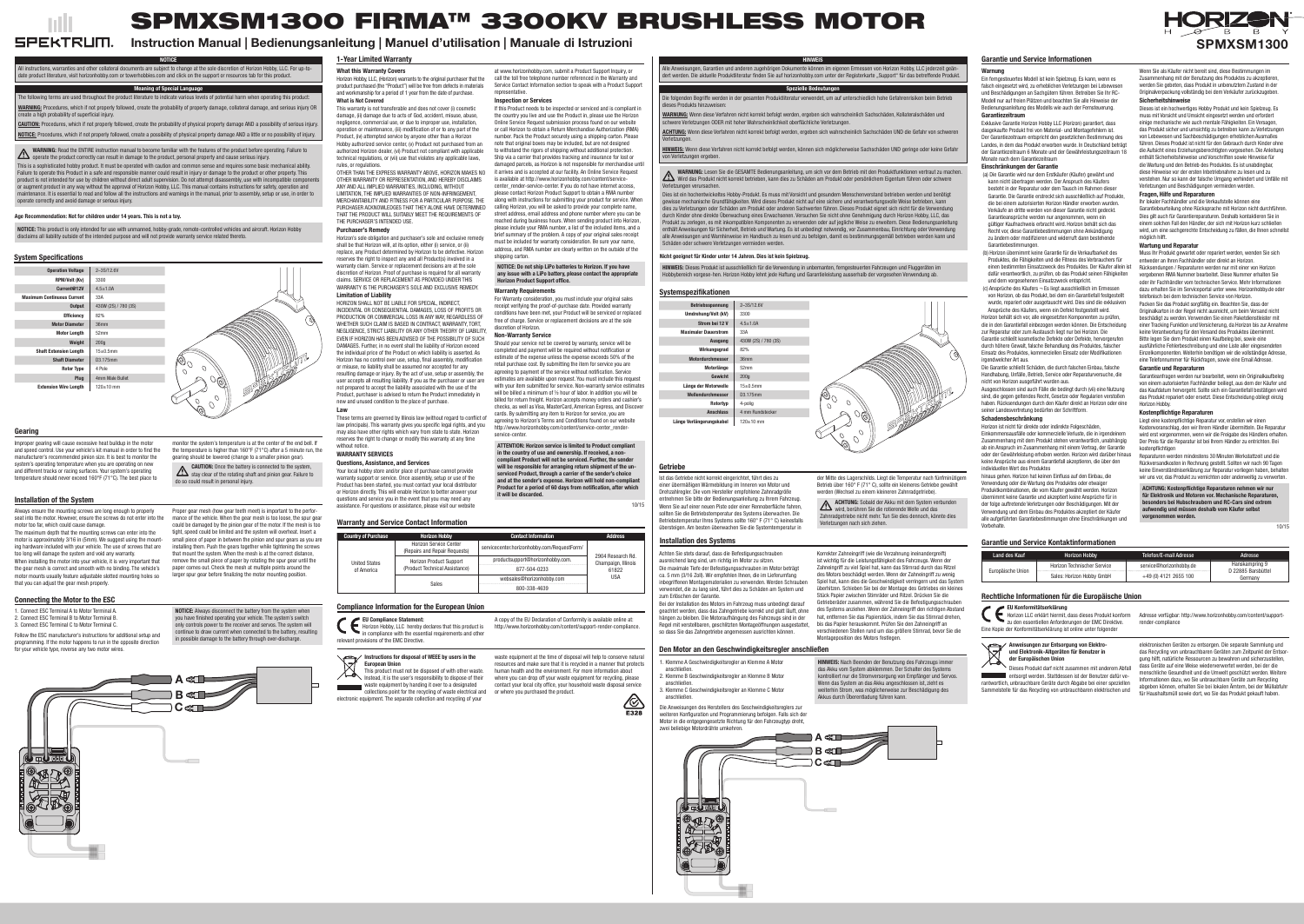# Age Recommendation: Not for children under 14 years. This is not a toy.

NOTICE: This product is only intended for use with unmanned, hobby-grade, remote-controlled vehicles and aircraft. Horizon Hobby disclaims all liability outside of the intended purpose and will not provide warranty service related thereto.

> **Contact Information Address** 2904 Research Rd. Champaign, Illinois 61822 USA

## Warranty and Service Contact Information

Instructions for disposal of WEEE by users in the European Union



| <b>Country of Purchase</b>  | <b>Horizon Hobby</b>                                             | <b>Contact Information</b>                  |
|-----------------------------|------------------------------------------------------------------|---------------------------------------------|
| United States<br>of America | <b>Horizon Service Center</b><br>(Repairs and Repair Requests)   | servicecenter.horizonhobby.com/RequestForm/ |
|                             | <b>Horizon Product Support</b><br>(Product Technical Assistance) | productsupport@horizonhobby.com.            |
|                             |                                                                  | 877-504-0233                                |
|                             | Sales                                                            | websales@horizonhobby.com                   |
|                             |                                                                  | 800-338-4639                                |
|                             |                                                                  |                                             |

## Compliance Information for the European Union

This product must not be disposed of with other waste. Instead, it is the user's responsibility to dispose of their

waste equipment by handing it over to a designated collections point for the recycling of waste electrical and or where you purchased the product. electronic equipment. The separate collection and recycling of your

Ein ferngesteuertes Modell ist kein Spielzeug. Es kann, wenn es falsch eingesetzt wird, zu erheblichen Verletzungen bei Lebewesen und Beschädigungen an Sachgütern führen. Betreiben Sie Ihr RC-Modell nur auf freien Plätzen und beachten Sie alle Hinweise der Bedienungsanleitung des Modells wie auch der Fernsteuerung. **Garantiezeitraum** 

waste equipment at the time of disposal will help to conserve natural resources and make sure that it is recycled in a manner that protects human health and the environment. For more information about where you can drop off your waste equipment for recycling, please contact your local city office, your household waste disposal service

EU Compliance Statement: Horizon Hobby, LLC hereby declares that this product is in compliance with the essential requirements and other relevant provisions of the EMC Directive.



A copy of the EU Declaration of Conformity is available online at: http://www.horizonhobby.com/content/support-render-compliance.



# Nicht geeignet für Kinder unter 14 Jahren. Dies ist kein Spielzeug.

HINWEIS: Dieses Produkt ist ausschließlich für die Verwendung in unbemanten, ferngesteuerten Fahrzeugen und Fluggeräten im Hobbybereich vorgese-hen. Horizon Hobby lehnt jede Haftung und Garantieleistung ausserhalb der vorgesehen Verwendung ab.

#### Warnung

Exklusive Garantie Horizon Hobby LLC (Horizon) garantiert, dass dasgekaufte Produkt frei von Material- und Montagefehlern ist. Der Garantiezeitraum entspricht den gesetzlichen Bestimmung des Landes, in dem das Produkt erworben wurde. In Deutschland beträgt der Garantiezeitraum 6 Monate und der Gewährleistungszeitraum 18 Monate nach dem Garantiezeitraum

hinaus gehen. Horizon hat keinen Einfluss auf den Einbau, die Verwendung oder die Wartung des Produktes oder etwaiger Produktkombinationen, die vom Käufer gewählt werden. Horizon übernimmt keine Garantie und akzeptiert keine Ansprüche für in der folge auftretende Verletzungen oder Beschädigungen. Mit der Verwendung und dem Einbau des Produktes akzeptiert der Käufer alle aufgeführten Garantiebestimmungen ohne Einschränkungen und **Vorbehalte** 

#### Einschränkungen der Garantie

- (a) Die Garantie wird nur dem Erstkäufer (Käufer) gewährt und kann nicht übertragen werden. Der Anspruch des Käufers besteht in der Reparatur oder dem Tausch im Rahmen dieser Garantie. Die Garantie erstreckt sich ausschließlich auf Produkte, die bei einem autorisierten Horizon Händler erworben wurden. Verkäufe an dritte werden von dieser Garantie nicht gedeckt. Garantieansprüche werden nur angenommen, wenn ein gültiger Kaufnachweis erbracht wird. Horizon behält sich das Recht vor, diese Garantiebestimmungen ohne Ankündigung zu ändern oder modifizieren und widerruft dann bestehende Garantiebestimmungen.
- (b) Horizon übernimmt keine Garantie für die Verkaufbarkeit des Produktes, die Fähigkeiten und die Fitness des Verbrauchers für einen bestimmten Einsatzzweck des Produktes. Der Käufer allein ist Rücksendungen / Reparaturen werden nur mit einer von Horizon dafür verantwortlich, zu prüfen, ob das Produkt seinen Fähigkeiten und dem vorgesehenen Einsatzzweck entspricht.
- (c) Ansprüche des Käufers ¬ Es liegt ausschließlich im Ermessen von Horizon, ob das Produkt, bei dem ein Garantiefall festgestellt wurde, repariert oder ausgetauscht wird. Dies sind die exklusiven Ansprüche des Käufers, wenn ein Defekt festgestellt wird.

Horizon behält sich vor, alle eingesetzten Komponenten zu prüfen, die in den Garantiefall einbezogen werden können. Die Entscheidung zur Reparatur oder zum Austausch liegt nur bei Horizon. Die Garantie schließt kosmetische Defekte oder Defekte, hervorgerufen durch höhere Gewalt, falsche Behandlung des Produktes, falscher Einsatz des Produktes, kommerziellen Einsatz oder Modifikationen irgendwelcher Art aus.

> Liegt eine kostenpflichtige Reparatur vor, erstellen wir einen Kostenvoranschlag, den wir Ihrem Händler übermitteln. Die Reparatur wird erst vorgenommen, wenn wir die Freigabe des Händlers erhalten. Der Preis für die Reparatur ist bei Ihrem Händler zu entrichten. Bei kostenpflichtigen

Die Garantie schließt Schäden, die durch falschen Einbau, falsche Handhabung, Unfälle, Betrieb, Service oder Reparaturversuche, die nicht von Horizon ausgeführt wurden aus.

Ausgeschlossen sind auch Fälle die bedingt durch (vii) eine Nutzung sind, die gegen geltendes Recht, Gesetze oder Regularien verstoßen haben. Rücksendungen durch den Käufer direkt an Horizon oder eine seiner Landesvertretung bedürfen der Schriftform.

# Schadensbeschränkung

entsorgt werden. Stattdessen ist der Benutzer dafür verantwortlich, unbrauchbare Geräte durch Abgabe bei einer speziellen Sammelstelle für das Recycling von unbrauchbaren elektrischen und

Horizon ist nicht für direkte oder indirekte Folgeschäden, Einkommensausfälle oder kommerzielle Verluste, die in irgendeinem Zusammenhang mit dem Produkt stehen verantwortlich, unabhängig ab ein Anspruch im Zusammenhang mit einem Vertrag, der Garantie oder der Gewährleistung erhoben werden. Horizon wird darüber hinaus keine Ansprüche aus einem Garantiefall akzeptieren, die über den individuellen Wert des Produktes

Wenn Sie als Käufer nicht bereit sind, diese Bestimmungen im Zusammenhang mit der Benutzung des Produktes zu akzeptieren. werden Sie gebeten, dass Produkt in unbenutztem Zustand in der Originalverpackung vollständig bei dem Verkäufer zurückzugeben. Sicherheitshinweise

Dieses ist ein hochwertiges Hobby Produkt und kein Spielzeug. Es muss mit Vorsicht und Umsicht eingesetzt werden und erfordert einige mechanische wie auch mentale Fähigkeiten. Ein Versagen, das Produkt sicher und umsichtig zu betreiben kann zu Verletzungen von Lebewesen und Sachbeschädigungen erheblichen Ausmaßes führen. Dieses Produkt ist nicht für den Gebrauch durch Kinder ohne die Aufsicht eines Erziehungsberechtigten vorgesehen. Die Anleitung enthält Sicherheitshinweise und Vorschriften sowie Hinweise für die Wartung und den Betrieb des Produktes. Es ist unabdingbar, diese Hinweise vor der ersten Inbetriebnahme zu lesen und zu verstehen. Nur so kann der falsche Umgang verhindert und Unfälle mit Verletzungen und Beschädigungen vermieden werden.

## Fragen, Hilfe und Reparaturen

Ihr lokaler Fachhändler und die Verkaufstelle können eine Garantiebeurteilung ohne Rücksprache mit Horizon nicht durchführen. Dies gilt auch für Garantiereparaturen. Deshalb kontaktieren Sie in einem solchen Fall den Händler, der sich mit Horizon kurz schließen wird, um eine sachgerechte Entscheidung zu fällen, die Ihnen schnellst

HINWEIS Alle Anweisungen, Garantien und anderen zugehörigen Dokumente können im eigenen Ermessen von Horizon Hobby, LLC jederzeit geändert werden. Die aktuelle Produktliteratur finden Sie auf horizonhobby.com unter der Registerkarte "Support" für das betreffende Produkt.

möglich hilft.

## Wartung und Reparatur

Muss Ihr Produkt gewartet oder repariert werden, wenden Sie sich entweder an Ihren Fachhändler oder direkt an Horizon.

vergebenen RMA Nummer bearbeitet. Diese Nummer erhalten Sie oder ihr Fachhändler vom technischen Service. Mehr Informationen dazu erhalten Sie im Serviceportal unter www. Horizonhobby.de oder telefonisch bei dem technischen Service von Horizon.

ACHTUNG: Wenn diese Verfahren nicht korrekt befolgt werden, ergeben sich wahrscheinlich Sachschäden UND die Gefahr von schweren Verletzungen.

HINWEIS: Wenn diese Verfahren nicht korrekt befolgt werden, können sich möglicherweise Sachschäden UND geringe oder keine Gefahr von Verletzungen ergeben.

> Packen Sie das Produkt sorgfältig ein. Beachten Sie, dass der Originalkarton in der Regel nicht ausreicht, um beim Versand nicht beschädigt zu werden. Verwenden Sie einen Paketdienstleister mit einer Tracking Funktion und Versicherung, da Horizon bis zur Annahme keine Verantwortung für den Versand des Produktes übernimmt. Bitte legen Sie dem Produkt einen Kaufbeleg bei, sowie eine ausführliche Fehlerbeschreibung und eine Liste aller eingesendeten Einzelkomponenten. Weiterhin benötigen wir die vollständige Adresse, eine Telefonnummer für Rückfragen, sowie eine Email Adresse.

#### Garantie und Reparaturen

Garantieanfragen werden nur bearbeitet, wenn ein Originalkaufbeleg von einem autorisierten Fachhändler beiliegt, aus dem der Käufer und das Kaufdatum hervorgeht. Sollte sich ein Garantiefall bestätigen wird das Produkt repariert oder ersetzt. Diese Entscheidung obliegt einzig

Horizon Hobby.

#### Kostenpflichtige Reparaturen

Reparaturen werden mindestens 30 Minuten Werkstattzeit und die Rückversandkosten in Rechnung gestellt. Sollten wir nach 90 Tagen keine Einverständniserklärung zur Reparatur vorliegen haben, behalten wir uns vor, das Produkt zu vernichten oder anderweitig zu verwerten.

ACHTUNG: Kostenpflichtige Reparaturen nehmen wir nur für Elektronik und Motoren vor. Mechanische Reparaturen, besonders bei Hubschraubern und RC-Cars sind extrem aufwendig und müssen deshalb vom Käufer selbst vorgenommen werden.

10/15

| Land des Kauf     | <b>Horizon Hobby</b>               | Telefon/E-mail Adresse  | Adresse                                       |
|-------------------|------------------------------------|-------------------------|-----------------------------------------------|
| Europäische Union | <b>Horizon Technischer Service</b> | service@horizonhobby.de | Hanskampring 9<br>D 22885 Barsbütt<br>Germany |
|                   | Sales: Horizon Hobby GmbH          | +49 (0) 4121 2655 100   |                                               |

| il Adresse | Adresse            |
|------------|--------------------|
| onhobby.de | Hanskampring 9     |
|            | D 22885 Barsbüttel |
| 2655 100   | Germany            |

# Rechtliche Informationen für die Europäische Union

























und Elektronik-Altgeräten für Benutzer in der Europäischen Union

Dieses Produkt darf nicht zusammen mit anderem Abfall

elektronischen Geräten zu entsorgen. Die separate Sammlung und das Recycling von unbrauchbaren Geräten zum Zeitpunkt der Entsorgung hilft, natürliche Ressourcen zu bewahren und sicherzustellen, dass Geräte auf eine Weise wiederverwertet werden, bei der die menschliche Gesundheit und die Umwelt geschützt werden. Weitere Informationen dazu, wo Sie unbrauchbare Geräte zum Recycling abgeben können, erhalten Sie bei lokalen Ämtern, bei der Müllabfuhr für Haushaltsmüll sowie dort, wo Sie das Produkt gekauft haben.

EU Konformitätserklärung

Horizon LLC erklärt hiermit, dass dieses Produkt konform zu den essentiellen Anforderungen der EMC Direktive. Eine Kopie der Konformitätserklärung ist online unter folgender

Adresse verfügbar: http://www.horizonhobby.com/content/supportrender-compliance

Improper gearing will cause excessive heat buildup in the motor and speed control. Use your vehicle's kit manual in order to find the manufacturer's recommended pinion size. It is best to monitor the system's operating temperature when you are operating on new and different tracks or racing surfaces. Your system's operating temperature should never exceed 160°F (71°C). The best place to

monitor the system's temperature is at the center of the end bell. If the temperature is higher than 160°F (71°C) after a 5 minute run, the gearing should be lowered (change to a smaller pinion gear).

CAUTION: Once the battery is connected to the system,

einer übermäßigen Wärmebildung im Inneren von Motor und Drehzahlregler. Die vom Hersteller empfohlene Zahnradgröße entnehmen Sie bitte der Bedienungsanleitung zu Ihrem Fahrzeug. Wenn Sie auf einer neuen Piste oder einer Rennoberfläche fahren, sollten Sie die Betriebstemperatur des Systems überwachen. Die Betriebstemperatur Ihres Systems sollte 160° F (71° C) keinesfalls übersteigen. Am besten überwachen Sie die Systemtemperatur in

der Mitte des Lagerschilds. Liegt die Temperatur nach fünfminütigem Betrieb über 160° F (71° C), sollte ein kleineres Getriebe gewählt

werden (Wechsel zu einem kleineren Zahnradgetriebe).

do so could result in personal injury. It has been the sendert was and at the sender's expense. Horizon will hold non-compliant states in the sender is the sender's expense. Horizon will hold non-compliant states in the se Your local hobby store and/or place of purchase cannot provide warranty support or service. Once assembly, setup or use of the Product has been started, you must contact your local distributor or Horizon directly. This will enable Horizon to better answer your questions and service you in the event that you may need any assistance. For questions or assistance, please visit our website

ACHTUNG: Sobald der Akku mit dem System verbunden wird, berühren Sie die rotierende Welle und das Zahnradgetriebe nicht mehr. Tun Sie dies dennoch, könnte dies

Verletzungen nach sich ziehen.

NOTICE

All instructions, warranties and other collateral documents are subject to change at the sole discretion of Horizon Hobby, LLC. For up-todate product literature, visit horizonhobby.com or towerhobbies.com and click on the support or resources tab for this product.

Meaning of Special Language

The following terms are used throughout the product literature to indicate various levels of potential harm when operating this product: WARNING: Procedures, which if not properly followed, create the probability of property damage, collateral damage, and serious injury OR create a high probability of superficial injury.

CAUTION: Procedures, which if not properly followed, create the probability of physical property damage AND a possibility of serious injury. NOTICE: Procedures, which if not properly followed, create a possibility of physical property damage AND a little or no possibility of injury.

WARNING: Read the ENTIRE instruction manual to become familiar with the features of the product before operating. Failure to **2.5** operate the product correctly can result in damage to the product, personal property and cause serious injury. This is a sophisticated hobby product. It must be operated with caution and common sense and requires some basic mechanical ability. Failure to operate this Product in a safe and responsible manner could result in injury or damage to the product or other property. This product is not intended for use by children without direct adult supervision. Do not attempt disassembly, use with incompatible component or augment product in any way without the approval of Horizon Hobby, LLC. This manual contains instructions for safety, operation and maintenance. It is essential to read and follow all the instructions and warnings in the manual, prior to assembly, setup or use, in order to

#### **SPEKTRUM** Instruction Manual | Bedienungsanleitung | Manuel d'utilisation | Manuale di Istruzioni

operate correctly and avoid damage or serious injury.

Spezielle Bedeutungen

#### Die folgenden Begriffe werden in der gesamten Produktliteratur verwendet, um auf unterschiedlich hohe Gefahrenrisiken beim Betrieb dieses Produkts hinzuweisen:

WARNUNG: Wenn diese Verfahren nicht korrekt befolgt werden, ergeben sich wahrscheinlich Sachschäden, Kollateralschäden und schwere Verletzungen ODER mit hoher Wahrscheinlichkeit oberflächliche Verletzungen.

stay clear of the rotating shaft and pinion gear. Failure to Proper gear mesh (how gear teeth meet) is important to the performance of the vehicle. When the gear mesh is too loose, the spur gear

#### WARNUNG: Lesen Sie die GESAMTE Bedienungsanleitung, um sich vor dem Betrieb mit den Produktfunktionen vertraut zu machen. Wird das Produkt nicht korrekt betrieben, kann dies zu Schäden am Produkt oder persönlichem Eigentum führen oder schwere Verletzungen verursachen.

Dies ist ein hochentwickeltes Hobby-Produkt. Es muss mit Vorsicht und gesundem Menschenverstand betrieben werden und benötigt gewisse mechanische Grundfähigkeiten. Wird dieses Produkt nicht auf eine sichere und verantwortungsvolle Weise betrieben, kann dies zu Verletzungen oder Schäden am Produkt oder anderen Sachwerten führen. Dieses Produkt eignet sich nicht für die Verwendung durch Kinder ohne direkte Überwachung eines Erwachsenen. Versuchen Sie nicht ohne Genehmigung durch Horizon Hobby, LLC, das Produkt zu zerlegen, es mit inkompatiblen Komponenten zu verwenden oder auf jegliche Weise zu erweitern. Diese Bedienungsanleitung enthält Anweisungen für Sicherheit, Betrieb und Wartung. Es ist unbedingt notwendig, vor Zusammenbau, Einrichtung oder Verwendung alle Anweisungen und Warnhinweise im Handbuch zu lesen und zu befolgen, damit es bestimmungsgemäß betrieben werden kann und Schäden oder schwere Verletzungen vermieden werden.

# Garantie und Service Informationen

# Garantie und Service Kontaktinformationen

# 1-Year Limited Warranty

# System Specifications

## Gearing

- 1. Connect ESC Terminal A to Motor Terminal A.
- 2. Connect ESC Terminal B to Motor Terminal B.

3. Connect ESC Terminal C to Motor Terminal C.

Follow the ESC manufacturer's instructions for additional setup and programming. If the motor happens to run in the opposite direction for your vehicle type, reverse any two motor wires.

NOTICE: Always disconnect the battery from the system when you have finished operating your vehicle. The system's switch

only controls power to the receiver and servos. The system will continue to draw current when connected to the battery, resulting in possible damage to the battery through over-discharge.

- 1. Klemme A Geschwindigkeitsregler an Klemme A Motor
- anschließen. 2. Klemme B Geschwindigkeitsregler an Klemme B Motor
- anschließen.
- 3. Klemme C Geschwindigkeitsregler an Klemme C Motor
- anschließen.

Die Anweisungen des Herstellers des Geschwindigkeitsreglers zur weiteren Konfiguration und Programmierung befolgen. Falls sich der Motor in die entgegengesetzte Richtung für den Fahrzeugtyp dreht,

HINWEIS: Nach Beenden der Benutzung des Fahrzeugs immer das Akku vom System abklemmen. Der Schalter des Systems kontrolliert nur die Stromversorgung von Empfänger und Servos. Wenn das System an das Akku angeschlossen ist, zieht es weiterhin Strom, was möglicherweise zur Beschädigung des

Akkus durch Überentladung führen kann.

Always ensure the mounting screws are long enough to properly seat into the motor. However, ensure the screws do not enter into the motor too far, which could cause damage.

The maximum depth that the mounting screws can enter into the motor is approximately 3/16 in (5mm). We suggest using the mounting hardware included with your vehicle. The use of screws that are too long will damage the system and void any warranty.

When installing the motor into your vehicle, it is very important that the gear mesh is correct and smooth with no binding. The vehicle's motor mounts usually feature adjustable slotted mounting holes so that you can adjust the gear mesh properly.

could be damaged by the pinion gear of the motor. If the mesh is too tight, speed could be limited and the system will overheat. Insert a small piece of paper in between the pinion and spur gears as you are installing them. Push the gears together while tightening the screws that mount the system. When the mesh is at the correct distance, remove the small piece of paper by rotating the spur gear until the paper comes out. Check the mesh at multiple points around the larger spur gear before finalizing the motor mounting position.

## Installation of the System

## Connecting the Motor to the ESC

# Getriebe

# Installation des Systems

# Den Motor an den Geschwindigkeitsregler anschließen

Achten Sie stets darauf, dass die Befestigungsschrauben ausreichend lang sind, um richtig im Motor zu sitzen. Die maximale Tiefe der Befestigungsschrauben im Motor beträgt ca. 5 mm (3/16 Zoll). Wir empfehlen Ihnen, die im Lieferumfang inbegriffenen Montagematerialien zu verwenden. Werden Schrauben verwendet, die zu lang sind, führt dies zu Schäden am System und zum Erlöschen der Garantie.

Bei der Installation des Motors im Fahrzeug muss unbedingt darauf geachtet werden, dass das Zahngetriebe korrekt und glatt läuft, ohne des Systems anziehen. Wenn der Zahneingriff den richtigen Abstand hängen zu bleiben. Die Motoraufhängung des Fahrzeugs sind in der Regel mit verstellbaren, geschlitzten Montageöffnungen ausgestattet, bis das Papier herauskommt. Prüfen Sie den Zahneingriff an so dass Sie das Zahngetriebe angemessen ausrichten können.



hat, entfernen Sie das Papierstück, indem Sie das Stirnrad drehen,

verschiedenen Stellen rund um das größere Stirnrad, bevor Sie die

Montageposition des Motors festlegen.

# SPMXSM1300 FIRMA™ 3300KV BRUSHLESS MOTOR

#### What this Warranty Covers Horizon Hobby, LLC, (Horizon) warrants to the original purchaser that the product purchased (the "Product") will be free from defects in materials and workmanship for a period of 1 year from the date of purchase. What is Not Covered

This warranty is not transferable and does not cover (i) cosmetic damage, (ii) damage due to acts of God, accident, misuse, abuse, negligence, commercial use, or due to improper use, installation, operation or maintenance, (iii) modification of or to any part of the Product, (iv) attempted service by anyone other than a Horizon Hobby authorized service center, (v) Product not purchased from an authorized Horizon dealer, (vi) Product not compliant with applicable technical regulations, or (vii) use that violates any applicable laws, rules, or regulations.

OTHER THAN THE EXPRESS WARRANTY ABOVE, HORIZON MAKES NO OTHER WARRANTY OR REPRESENTATION, AND HEREBY DISCLAIMS ANY AND ALL IMPLIED WARRANTIES, INCLUDING, WITHOUT LIMITATION, THE IMPLIED WARRANTIES OF NON-INFRINGEMENT, MERCHANTABILITY AND FITNESS FOR A PARTICULAR PURPOSE. THE PURCHASER ACKNOWLEDGES THAT THEY ALONE HAVE DETERMINED THAT THE PRODUCT WILL SUITABLY MEET THE REQUIREMENTS OF THE PURCHASER'S INTENDED USE.

## Purchaser's Remedy

Horizon's sole obligation and purchaser's sole and exclusive remedy shall be that Horizon will, at its option, either (i) service, or (ii) replace, any Product determined by Horizon to be defective. Horizon reserves the right to inspect any and all Product(s) involved in a warranty claim. Service or replacement decisions are at the sole discretion of Horizon. Proof of purchase is required for all warranty claims. SERVICE OR REPLACEMENT AS PROVIDED UNDER THIS WARRANTY IS THE PURCHASER'S SOLE AND EXCLUSIVE REMEDY. Limitation of Liability



#### HORIZON SHALL NOT BE LIABLE FOR SPECIAL, INDIRECT,

INCIDENTAL OR CONSEQUENTIAL DAMAGES, LOSS OF PROFITS OR PRODUCTION OR COMMERCIAL LOSS IN ANY WAY, REGARDLESS OF WHETHER SUCH CLAIM IS BASED IN CONTRACT, WARRANTY, TORT, NEGLIGENCE, STRICT LIABILITY OR ANY OTHER THEORY OF LIABILITY, EVEN IF HORIZON HAS BEEN ADVISED OF THE POSSIBILITY OF SUCH DAMAGES. Further, in no event shall the liability of Horizon exceed the individual price of the Product on which liability is asserted. As Horizon has no control over use, setup, final assembly, modification or misuse, no liability shall be assumed nor accepted for any resulting damage or injury. By the act of use, setup or assembly, the user accepts all resulting liability. If you as the purchaser or user are not prepared to accept the liability associated with the use of the Product, purchaser is advised to return the Product immediately in new and unused condition to the place of purchase.

#### Law

These terms are governed by Illinois law (without regard to conflict of law principals). This warranty gives you specific legal rights, and you may also have other rights which vary from state to state. Horizon reserves the right to change or modify this warranty at any time without notice.

#### WARRANTY SERVICES

Questions, Assistance, and Services

at www.horizonhobby.com, submit a Product Support Inquiry, or call the toll free telephone number referenced in the Warranty and Service Contact Information section to speak with a Product Support representative.

#### Inspection or Services

| <b>Systemspezifikationen</b> |                      |    |
|------------------------------|----------------------|----|
| Betriebsspannung             | 2-3S/12.6V           |    |
| Umdrehung/Volt (kV)          | 3300                 |    |
| Strom bei 12 V               | $4.5 \pm 1.0$ A      |    |
| <b>Maximaler Dauerstrom</b>  | 33A                  |    |
| <b>Ausgang</b>               | 430W (2S) / 780 (3S) |    |
| Wirkungsgrad                 | 82%                  |    |
| <b>Motordurchmesser</b>      | 36mm                 | Ø) |
| Motorlänge                   | 52mm                 |    |
| Gewicht                      | 200 <sub>g</sub>     |    |
| Länge der Motorwelle         | $15 \pm 0.5$ mm      |    |
| Wellendurchmesser            | D3.175mm             |    |
| Rotortyp                     | 4-polig              |    |
| <b>Anschluss</b>             | 4 mm Rundstecker     |    |
| Länge Verlängerungskabel     | $120 \pm 10$ mm      |    |
|                              |                      |    |

If this Product needs to be inspected or serviced and is compliant in the country you live and use the Product in, please use the Horizon Online Service Request submission process found on our website or call Horizon to obtain a Return Merchandise Authorization (RMA) number. Pack the Product securely using a shipping carton. Please note that original boxes may be included, but are not designed to withstand the rigors of shipping without additional protection. Ship via a carrier that provides tracking and insurance for lost or damaged parcels, as Horizon is not responsible for merchandise until it arrives and is accepted at our facility. An Online Service Request is available at http://www.horizonhobby.com/content/servicecenter\_render-service-center. If you do not have internet access, please contact Horizon Product Support to obtain a RMA number along with instructions for submitting your product for service. When calling Horizon, you will be asked to provide your complete name, street address, email address and phone number where you can be reached during business hours. When sending product into Horizon, please include your RMA number, a list of the included items, and a brief summary of the problem. A copy of your original sales receipt must be included for warranty consideration. Be sure your name, address, and RMA number are clearly written on the outside of the shipping carton.

## NOTICE: Do not ship LiPo batteries to Horizon. If you have

any issue with a LiPo battery, please contact the appropriate Horizon Product Support office.

## Warranty Requirements

For Warranty consideration, you must include your original sales receipt verifying the proof-of-purchase date. Provided warranty conditions have been met, your Product will be serviced or replaced free of charge. Service or replacement decisions are at the sole discretion of Horizon.

#### Non-Warranty Service

Should your service not be covered by warranty, service will be completed and payment will be required without notification or estimate of the expense unless the expense exceeds 50% of the retail purchase cost. By submitting the item for service you are agreeing to payment of the service without notification. Service estimates are available upon request. You must include this request with your item submitted for service. Non-warranty service estimates will be billed a minimum of  $\frac{1}{2}$  hour of labor. In addition you will be billed for return freight. Horizon accepts money orders and cashier's checks, as well as Visa, MasterCard, American Express, and Discover cards. By submitting any item to Horizon for service, you are agreeing to Horizon's Terms and Conditions found on our website http://www.horizonhobby.com/content/service-center\_renderservice-center.

## ATTENTION: Horizon service is limited to Product compliant in the country of use and ownership. If received, a noncompliant Product will not be serviced. Further, the sender will be responsible for arranging return shipment of the unserviced Product, through a carrier of the sender's choice Product for a period of 60 days from notification, after which it will be discarded.

10/15